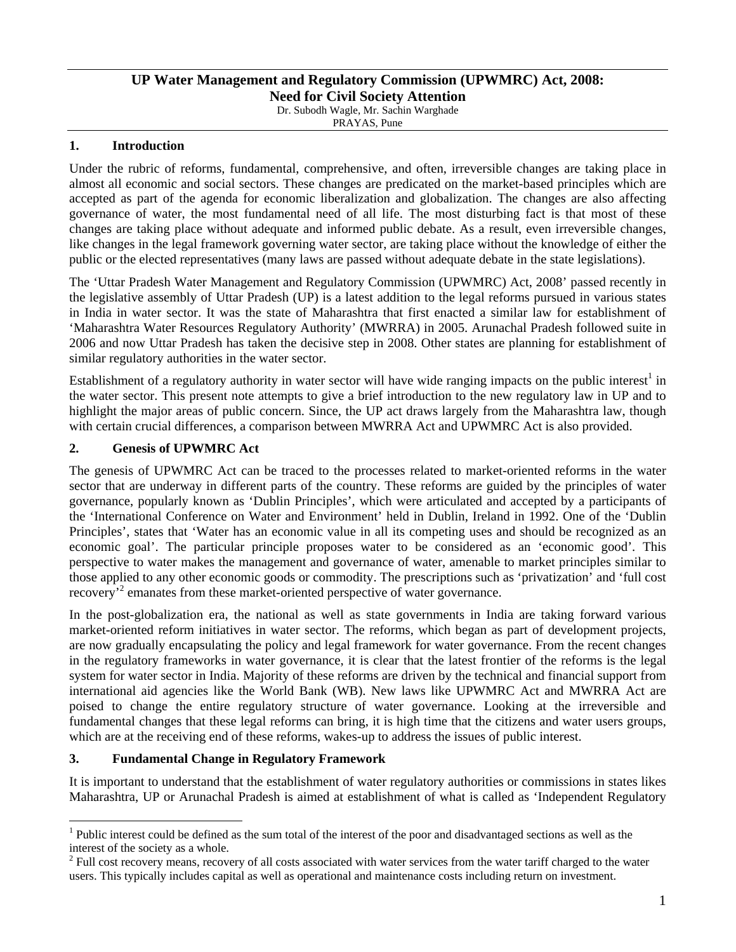# **UP Water Management and Regulatory Commission (UPWMRC) Act, 2008:**

**Need for Civil Society Attention**  Dr. Subodh Wagle, Mr. Sachin Warghade

PRAYAS, Pune

## **1. Introduction**

Under the rubric of reforms, fundamental, comprehensive, and often, irreversible changes are taking place in almost all economic and social sectors. These changes are predicated on the market-based principles which are accepted as part of the agenda for economic liberalization and globalization. The changes are also affecting governance of water, the most fundamental need of all life. The most disturbing fact is that most of these changes are taking place without adequate and informed public debate. As a result, even irreversible changes, like changes in the legal framework governing water sector, are taking place without the knowledge of either the public or the elected representatives (many laws are passed without adequate debate in the state legislations).

The 'Uttar Pradesh Water Management and Regulatory Commission (UPWMRC) Act, 2008' passed recently in the legislative assembly of Uttar Pradesh (UP) is a latest addition to the legal reforms pursued in various states in India in water sector. It was the state of Maharashtra that first enacted a similar law for establishment of 'Maharashtra Water Resources Regulatory Authority' (MWRRA) in 2005. Arunachal Pradesh followed suite in 2006 and now Uttar Pradesh has taken the decisive step in 2008. Other states are planning for establishment of similar regulatory authorities in the water sector.

Establishment of a regulatory authority in water sector will have wide ranging impacts on the public interest<sup>1</sup> in the water sector. This present note attempts to give a brief introduction to the new regulatory law in UP and to highlight the major areas of public concern. Since, the UP act draws largely from the Maharashtra law, though with certain crucial differences, a comparison between MWRRA Act and UPWMRC Act is also provided.

## **2. Genesis of UPWMRC Act**

The genesis of UPWMRC Act can be traced to the processes related to market-oriented reforms in the water sector that are underway in different parts of the country. These reforms are guided by the principles of water governance, popularly known as 'Dublin Principles', which were articulated and accepted by a participants of the 'International Conference on Water and Environment' held in Dublin, Ireland in 1992. One of the 'Dublin Principles', states that 'Water has an economic value in all its competing uses and should be recognized as an economic goal'. The particular principle proposes water to be considered as an 'economic good'. This perspective to water makes the management and governance of water, amenable to market principles similar to those applied to any other economic goods or commodity. The prescriptions such as 'privatization' and 'full cost recovery<sup>, 2</sup> emanates from these market-oriented perspective of water governance.

In the post-globalization era, the national as well as state governments in India are taking forward various market-oriented reform initiatives in water sector. The reforms, which began as part of development projects, are now gradually encapsulating the policy and legal framework for water governance. From the recent changes in the regulatory frameworks in water governance, it is clear that the latest frontier of the reforms is the legal system for water sector in India. Majority of these reforms are driven by the technical and financial support from international aid agencies like the World Bank (WB). New laws like UPWMRC Act and MWRRA Act are poised to change the entire regulatory structure of water governance. Looking at the irreversible and fundamental changes that these legal reforms can bring, it is high time that the citizens and water users groups, which are at the receiving end of these reforms, wakes-up to address the issues of public interest.

## **3. Fundamental Change in Regulatory Framework**

 $\overline{a}$ 

It is important to understand that the establishment of water regulatory authorities or commissions in states likes Maharashtra, UP or Arunachal Pradesh is aimed at establishment of what is called as 'Independent Regulatory

 $1$  Public interest could be defined as the sum total of the interest of the poor and disadvantaged sections as well as the interest of the society as a whole.

 $2$  Full cost recovery means, recovery of all costs associated with water services from the water tariff charged to the water users. This typically includes capital as well as operational and maintenance costs including return on investment.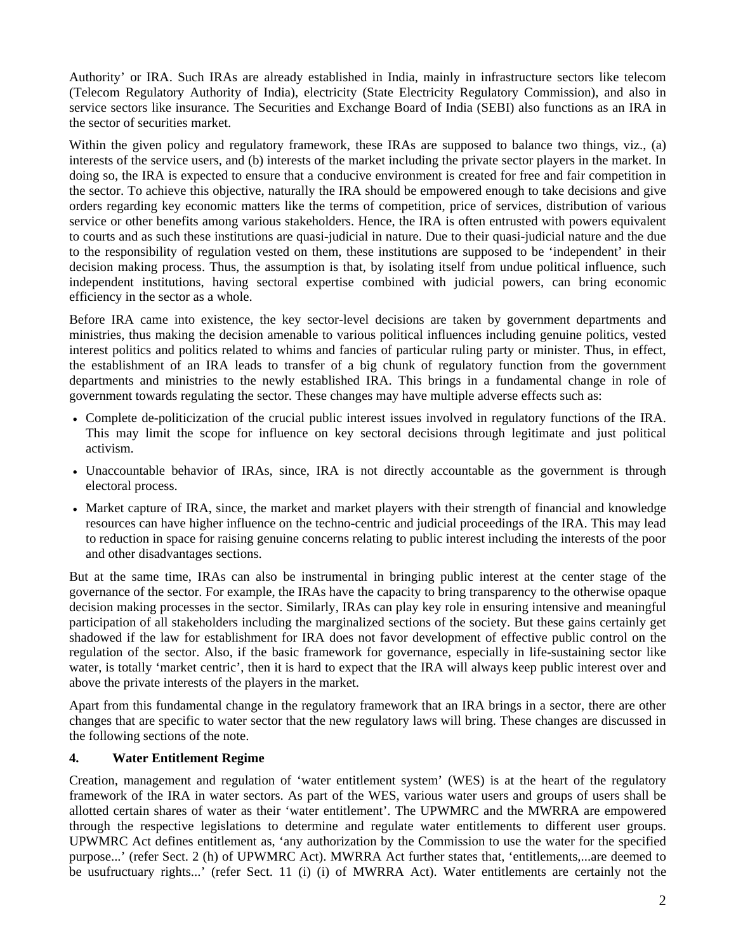Authority' or IRA. Such IRAs are already established in India, mainly in infrastructure sectors like telecom (Telecom Regulatory Authority of India), electricity (State Electricity Regulatory Commission), and also in service sectors like insurance. The Securities and Exchange Board of India (SEBI) also functions as an IRA in the sector of securities market.

Within the given policy and regulatory framework, these IRAs are supposed to balance two things, viz., (a) interests of the service users, and (b) interests of the market including the private sector players in the market. In doing so, the IRA is expected to ensure that a conducive environment is created for free and fair competition in the sector. To achieve this objective, naturally the IRA should be empowered enough to take decisions and give orders regarding key economic matters like the terms of competition, price of services, distribution of various service or other benefits among various stakeholders. Hence, the IRA is often entrusted with powers equivalent to courts and as such these institutions are quasi-judicial in nature. Due to their quasi-judicial nature and the due to the responsibility of regulation vested on them, these institutions are supposed to be 'independent' in their decision making process. Thus, the assumption is that, by isolating itself from undue political influence, such independent institutions, having sectoral expertise combined with judicial powers, can bring economic efficiency in the sector as a whole.

Before IRA came into existence, the key sector-level decisions are taken by government departments and ministries, thus making the decision amenable to various political influences including genuine politics, vested interest politics and politics related to whims and fancies of particular ruling party or minister. Thus, in effect, the establishment of an IRA leads to transfer of a big chunk of regulatory function from the government departments and ministries to the newly established IRA. This brings in a fundamental change in role of government towards regulating the sector. These changes may have multiple adverse effects such as:

- Complete de-politicization of the crucial public interest issues involved in regulatory functions of the IRA. This may limit the scope for influence on key sectoral decisions through legitimate and just political activism.
- Unaccountable behavior of IRAs, since, IRA is not directly accountable as the government is through electoral process.
- Market capture of IRA, since, the market and market players with their strength of financial and knowledge resources can have higher influence on the techno-centric and judicial proceedings of the IRA. This may lead to reduction in space for raising genuine concerns relating to public interest including the interests of the poor and other disadvantages sections.

But at the same time, IRAs can also be instrumental in bringing public interest at the center stage of the governance of the sector. For example, the IRAs have the capacity to bring transparency to the otherwise opaque decision making processes in the sector. Similarly, IRAs can play key role in ensuring intensive and meaningful participation of all stakeholders including the marginalized sections of the society. But these gains certainly get shadowed if the law for establishment for IRA does not favor development of effective public control on the regulation of the sector. Also, if the basic framework for governance, especially in life-sustaining sector like water, is totally 'market centric', then it is hard to expect that the IRA will always keep public interest over and above the private interests of the players in the market.

Apart from this fundamental change in the regulatory framework that an IRA brings in a sector, there are other changes that are specific to water sector that the new regulatory laws will bring. These changes are discussed in the following sections of the note.

#### **4. Water Entitlement Regime**

Creation, management and regulation of 'water entitlement system' (WES) is at the heart of the regulatory framework of the IRA in water sectors. As part of the WES, various water users and groups of users shall be allotted certain shares of water as their 'water entitlement'. The UPWMRC and the MWRRA are empowered through the respective legislations to determine and regulate water entitlements to different user groups. UPWMRC Act defines entitlement as, 'any authorization by the Commission to use the water for the specified purpose...' (refer Sect. 2 (h) of UPWMRC Act). MWRRA Act further states that, 'entitlements,...are deemed to be usufructuary rights...' (refer Sect. 11 (i) (i) of MWRRA Act). Water entitlements are certainly not the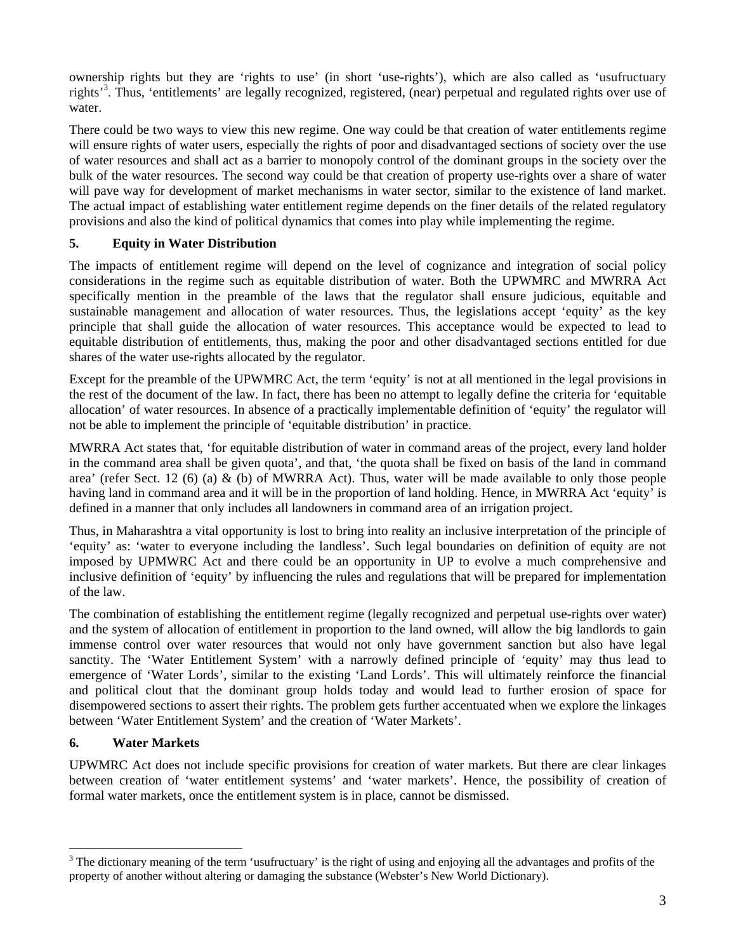ownership rights but they are 'rights to use' (in short 'use-rights'), which are also called as 'usufructuary rights<sup>33</sup>. Thus, 'entitlements' are legally recognized, registered, (near) perpetual and regulated rights over use of water.

There could be two ways to view this new regime. One way could be that creation of water entitlements regime will ensure rights of water users, especially the rights of poor and disadvantaged sections of society over the use of water resources and shall act as a barrier to monopoly control of the dominant groups in the society over the bulk of the water resources. The second way could be that creation of property use-rights over a share of water will pave way for development of market mechanisms in water sector, similar to the existence of land market. The actual impact of establishing water entitlement regime depends on the finer details of the related regulatory provisions and also the kind of political dynamics that comes into play while implementing the regime.

## **5. Equity in Water Distribution**

The impacts of entitlement regime will depend on the level of cognizance and integration of social policy considerations in the regime such as equitable distribution of water. Both the UPWMRC and MWRRA Act specifically mention in the preamble of the laws that the regulator shall ensure judicious, equitable and sustainable management and allocation of water resources. Thus, the legislations accept 'equity' as the key principle that shall guide the allocation of water resources. This acceptance would be expected to lead to equitable distribution of entitlements, thus, making the poor and other disadvantaged sections entitled for due shares of the water use-rights allocated by the regulator.

Except for the preamble of the UPWMRC Act, the term 'equity' is not at all mentioned in the legal provisions in the rest of the document of the law. In fact, there has been no attempt to legally define the criteria for 'equitable allocation' of water resources. In absence of a practically implementable definition of 'equity' the regulator will not be able to implement the principle of 'equitable distribution' in practice.

MWRRA Act states that, 'for equitable distribution of water in command areas of the project, every land holder in the command area shall be given quota', and that, 'the quota shall be fixed on basis of the land in command area' (refer Sect. 12 (6) (a)  $\&$  (b) of MWRRA Act). Thus, water will be made available to only those people having land in command area and it will be in the proportion of land holding. Hence, in MWRRA Act 'equity' is defined in a manner that only includes all landowners in command area of an irrigation project.

Thus, in Maharashtra a vital opportunity is lost to bring into reality an inclusive interpretation of the principle of 'equity' as: 'water to everyone including the landless'. Such legal boundaries on definition of equity are not imposed by UPMWRC Act and there could be an opportunity in UP to evolve a much comprehensive and inclusive definition of 'equity' by influencing the rules and regulations that will be prepared for implementation of the law.

The combination of establishing the entitlement regime (legally recognized and perpetual use-rights over water) and the system of allocation of entitlement in proportion to the land owned, will allow the big landlords to gain immense control over water resources that would not only have government sanction but also have legal sanctity. The 'Water Entitlement System' with a narrowly defined principle of 'equity' may thus lead to emergence of 'Water Lords', similar to the existing 'Land Lords'. This will ultimately reinforce the financial and political clout that the dominant group holds today and would lead to further erosion of space for disempowered sections to assert their rights. The problem gets further accentuated when we explore the linkages between 'Water Entitlement System' and the creation of 'Water Markets'.

## **6. Water Markets**

 $\overline{a}$ 

UPWMRC Act does not include specific provisions for creation of water markets. But there are clear linkages between creation of 'water entitlement systems' and 'water markets'. Hence, the possibility of creation of formal water markets, once the entitlement system is in place, cannot be dismissed.

 $3$  The dictionary meaning of the term 'usufructuary' is the right of using and enjoying all the advantages and profits of the property of another without altering or damaging the substance (Webster's New World Dictionary).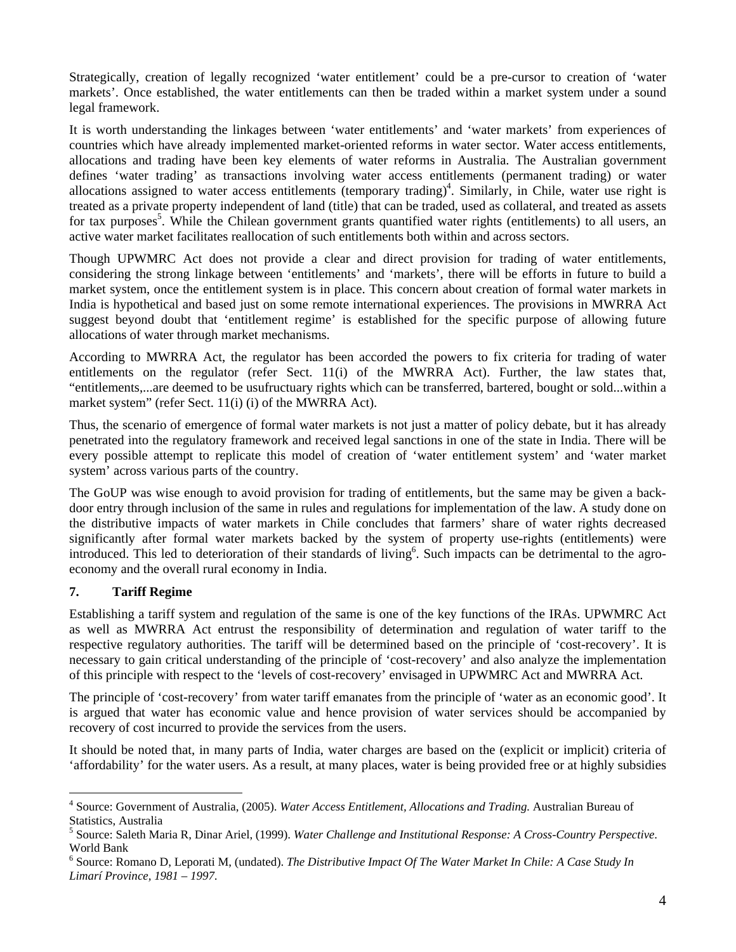Strategically, creation of legally recognized 'water entitlement' could be a pre-cursor to creation of 'water markets'. Once established, the water entitlements can then be traded within a market system under a sound legal framework.

It is worth understanding the linkages between 'water entitlements' and 'water markets' from experiences of countries which have already implemented market-oriented reforms in water sector. Water access entitlements, allocations and trading have been key elements of water reforms in Australia. The Australian government defines 'water trading' as transactions involving water access entitlements (permanent trading) or water allocations assigned to water access entitlements (temporary trading)<sup>4</sup>. Similarly, in Chile, water use right is treated as a private property independent of land (title) that can be traded, used as collateral, and treated as assets for tax purposes<sup>5</sup>. While the Chilean government grants quantified water rights (entitlements) to all users, an active water market facilitates reallocation of such entitlements both within and across sectors.

Though UPWMRC Act does not provide a clear and direct provision for trading of water entitlements, considering the strong linkage between 'entitlements' and 'markets', there will be efforts in future to build a market system, once the entitlement system is in place. This concern about creation of formal water markets in India is hypothetical and based just on some remote international experiences. The provisions in MWRRA Act suggest beyond doubt that 'entitlement regime' is established for the specific purpose of allowing future allocations of water through market mechanisms.

According to MWRRA Act, the regulator has been accorded the powers to fix criteria for trading of water entitlements on the regulator (refer Sect. 11(i) of the MWRRA Act). Further, the law states that, "entitlements,...are deemed to be usufructuary rights which can be transferred, bartered, bought or sold...within a market system" (refer Sect. 11(i) (i) of the MWRRA Act).

Thus, the scenario of emergence of formal water markets is not just a matter of policy debate, but it has already penetrated into the regulatory framework and received legal sanctions in one of the state in India. There will be every possible attempt to replicate this model of creation of 'water entitlement system' and 'water market system' across various parts of the country.

The GoUP was wise enough to avoid provision for trading of entitlements, but the same may be given a backdoor entry through inclusion of the same in rules and regulations for implementation of the law. A study done on the distributive impacts of water markets in Chile concludes that farmers' share of water rights decreased significantly after formal water markets backed by the system of property use-rights (entitlements) were introduced. This led to deterioration of their standards of living<sup>6</sup>. Such impacts can be detrimental to the agroeconomy and the overall rural economy in India.

## **7. Tariff Regime**

Establishing a tariff system and regulation of the same is one of the key functions of the IRAs. UPWMRC Act as well as MWRRA Act entrust the responsibility of determination and regulation of water tariff to the respective regulatory authorities. The tariff will be determined based on the principle of 'cost-recovery'. It is necessary to gain critical understanding of the principle of 'cost-recovery' and also analyze the implementation of this principle with respect to the 'levels of cost-recovery' envisaged in UPWMRC Act and MWRRA Act.

The principle of 'cost-recovery' from water tariff emanates from the principle of 'water as an economic good'. It is argued that water has economic value and hence provision of water services should be accompanied by recovery of cost incurred to provide the services from the users.

It should be noted that, in many parts of India, water charges are based on the (explicit or implicit) criteria of 'affordability' for the water users. As a result, at many places, water is being provided free or at highly subsidies

 4 Source: Government of Australia, (2005). *Water Access Entitlement, Allocations and Trading.* Australian Bureau of Statistics, Australia

<sup>5</sup> Source: Saleth Maria R, Dinar Ariel, (1999). *Water Challenge and Institutional Response: A Cross-Country Perspective*. World Bank

<sup>6</sup> Source: Romano D, Leporati M, (undated). *The Distributive Impact Of The Water Market In Chile: A Case Study In Limarí Province, 1981 – 1997*.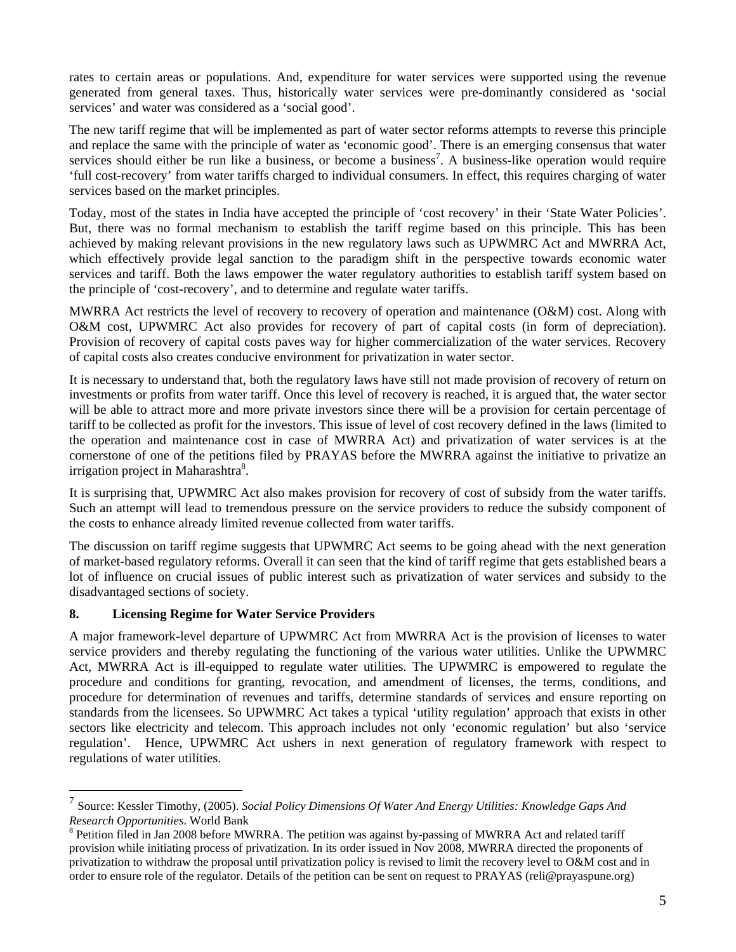rates to certain areas or populations. And, expenditure for water services were supported using the revenue generated from general taxes. Thus, historically water services were pre-dominantly considered as 'social services' and water was considered as a 'social good'.

The new tariff regime that will be implemented as part of water sector reforms attempts to reverse this principle and replace the same with the principle of water as 'economic good'. There is an emerging consensus that water services should either be run like a business, or become a business<sup>7</sup>. A business-like operation would require 'full cost-recovery' from water tariffs charged to individual consumers. In effect, this requires charging of water services based on the market principles.

Today, most of the states in India have accepted the principle of 'cost recovery' in their 'State Water Policies'. But, there was no formal mechanism to establish the tariff regime based on this principle. This has been achieved by making relevant provisions in the new regulatory laws such as UPWMRC Act and MWRRA Act, which effectively provide legal sanction to the paradigm shift in the perspective towards economic water services and tariff. Both the laws empower the water regulatory authorities to establish tariff system based on the principle of 'cost-recovery', and to determine and regulate water tariffs.

MWRRA Act restricts the level of recovery to recovery of operation and maintenance (O&M) cost. Along with O&M cost, UPWMRC Act also provides for recovery of part of capital costs (in form of depreciation). Provision of recovery of capital costs paves way for higher commercialization of the water services. Recovery of capital costs also creates conducive environment for privatization in water sector.

It is necessary to understand that, both the regulatory laws have still not made provision of recovery of return on investments or profits from water tariff. Once this level of recovery is reached, it is argued that, the water sector will be able to attract more and more private investors since there will be a provision for certain percentage of tariff to be collected as profit for the investors. This issue of level of cost recovery defined in the laws (limited to the operation and maintenance cost in case of MWRRA Act) and privatization of water services is at the cornerstone of one of the petitions filed by PRAYAS before the MWRRA against the initiative to privatize an irrigation project in Maharashtra<sup>8</sup>.

It is surprising that, UPWMRC Act also makes provision for recovery of cost of subsidy from the water tariffs. Such an attempt will lead to tremendous pressure on the service providers to reduce the subsidy component of the costs to enhance already limited revenue collected from water tariffs.

The discussion on tariff regime suggests that UPWMRC Act seems to be going ahead with the next generation of market-based regulatory reforms. Overall it can seen that the kind of tariff regime that gets established bears a lot of influence on crucial issues of public interest such as privatization of water services and subsidy to the disadvantaged sections of society.

## **8. Licensing Regime for Water Service Providers**

 $\overline{a}$ 

A major framework-level departure of UPWMRC Act from MWRRA Act is the provision of licenses to water service providers and thereby regulating the functioning of the various water utilities. Unlike the UPWMRC Act, MWRRA Act is ill-equipped to regulate water utilities. The UPWMRC is empowered to regulate the procedure and conditions for granting, revocation, and amendment of licenses, the terms, conditions, and procedure for determination of revenues and tariffs, determine standards of services and ensure reporting on standards from the licensees. So UPWMRC Act takes a typical 'utility regulation' approach that exists in other sectors like electricity and telecom. This approach includes not only 'economic regulation' but also 'service regulation'. Hence, UPWMRC Act ushers in next generation of regulatory framework with respect to regulations of water utilities.

<sup>7</sup> Source: Kessler Timothy, (2005). *Social Policy Dimensions Of Water And Energy Utilities: Knowledge Gaps And Research Opportunities*. World Bank

<sup>&</sup>lt;sup>8</sup> Petition filed in Jan 2008 before MWRRA. The petition was against by-passing of MWRRA Act and related tariff provision while initiating process of privatization. In its order issued in Nov 2008, MWRRA directed the proponents of privatization to withdraw the proposal until privatization policy is revised to limit the recovery level to O&M cost and in order to ensure role of the regulator. Details of the petition can be sent on request to PRAYAS (reli@prayaspune.org)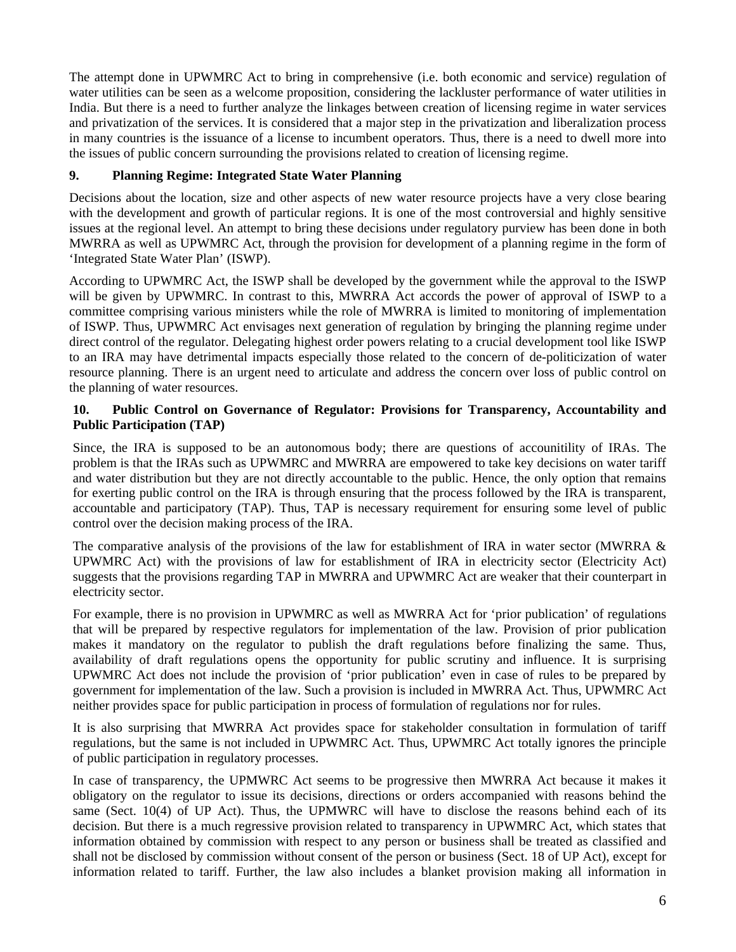The attempt done in UPWMRC Act to bring in comprehensive (i.e. both economic and service) regulation of water utilities can be seen as a welcome proposition, considering the lackluster performance of water utilities in India. But there is a need to further analyze the linkages between creation of licensing regime in water services and privatization of the services. It is considered that a major step in the privatization and liberalization process in many countries is the issuance of a license to incumbent operators. Thus, there is a need to dwell more into the issues of public concern surrounding the provisions related to creation of licensing regime.

# **9. Planning Regime: Integrated State Water Planning**

Decisions about the location, size and other aspects of new water resource projects have a very close bearing with the development and growth of particular regions. It is one of the most controversial and highly sensitive issues at the regional level. An attempt to bring these decisions under regulatory purview has been done in both MWRRA as well as UPWMRC Act, through the provision for development of a planning regime in the form of 'Integrated State Water Plan' (ISWP).

According to UPWMRC Act, the ISWP shall be developed by the government while the approval to the ISWP will be given by UPWMRC. In contrast to this, MWRRA Act accords the power of approval of ISWP to a committee comprising various ministers while the role of MWRRA is limited to monitoring of implementation of ISWP. Thus, UPWMRC Act envisages next generation of regulation by bringing the planning regime under direct control of the regulator. Delegating highest order powers relating to a crucial development tool like ISWP to an IRA may have detrimental impacts especially those related to the concern of de-politicization of water resource planning. There is an urgent need to articulate and address the concern over loss of public control on the planning of water resources.

#### **10. Public Control on Governance of Regulator: Provisions for Transparency, Accountability and Public Participation (TAP)**

Since, the IRA is supposed to be an autonomous body; there are questions of accounitility of IRAs. The problem is that the IRAs such as UPWMRC and MWRRA are empowered to take key decisions on water tariff and water distribution but they are not directly accountable to the public. Hence, the only option that remains for exerting public control on the IRA is through ensuring that the process followed by the IRA is transparent, accountable and participatory (TAP). Thus, TAP is necessary requirement for ensuring some level of public control over the decision making process of the IRA.

The comparative analysis of the provisions of the law for establishment of IRA in water sector (MWRRA  $\&$ UPWMRC Act) with the provisions of law for establishment of IRA in electricity sector (Electricity Act) suggests that the provisions regarding TAP in MWRRA and UPWMRC Act are weaker that their counterpart in electricity sector.

For example, there is no provision in UPWMRC as well as MWRRA Act for 'prior publication' of regulations that will be prepared by respective regulators for implementation of the law. Provision of prior publication makes it mandatory on the regulator to publish the draft regulations before finalizing the same. Thus, availability of draft regulations opens the opportunity for public scrutiny and influence. It is surprising UPWMRC Act does not include the provision of 'prior publication' even in case of rules to be prepared by government for implementation of the law. Such a provision is included in MWRRA Act. Thus, UPWMRC Act neither provides space for public participation in process of formulation of regulations nor for rules.

It is also surprising that MWRRA Act provides space for stakeholder consultation in formulation of tariff regulations, but the same is not included in UPWMRC Act. Thus, UPWMRC Act totally ignores the principle of public participation in regulatory processes.

In case of transparency, the UPMWRC Act seems to be progressive then MWRRA Act because it makes it obligatory on the regulator to issue its decisions, directions or orders accompanied with reasons behind the same (Sect. 10(4) of UP Act). Thus, the UPMWRC will have to disclose the reasons behind each of its decision. But there is a much regressive provision related to transparency in UPWMRC Act, which states that information obtained by commission with respect to any person or business shall be treated as classified and shall not be disclosed by commission without consent of the person or business (Sect. 18 of UP Act), except for information related to tariff. Further, the law also includes a blanket provision making all information in